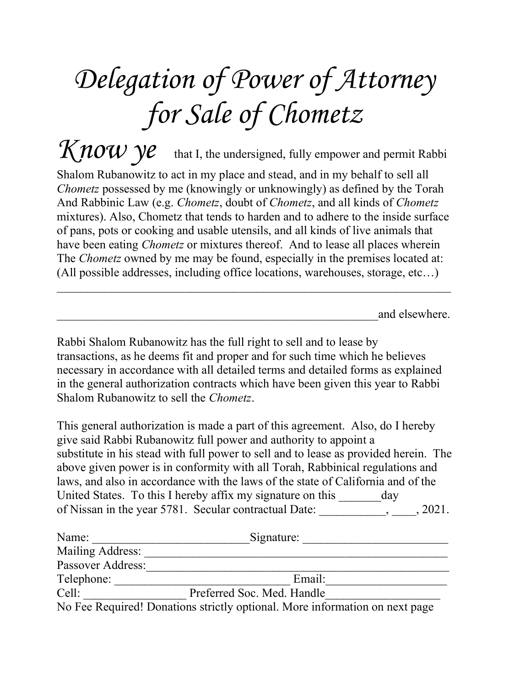## Delegation of Power of Attorney for Sale of Chometz

 $K$ now  $y$ e that I, the undersigned, fully empower and permit Rabbi Shalom Rubanowitz to act in my place and stead, and in my behalf to sell all Chometz possessed by me (knowingly or unknowingly) as defined by the Torah And Rabbinic Law (e.g. *Chometz*, doubt of *Chometz*, and all kinds of *Chometz* mixtures). Also, Chometz that tends to harden and to adhere to the inside surface of pans, pots or cooking and usable utensils, and all kinds of live animals that have been eating *Chometz* or mixtures thereof. And to lease all places wherein The *Chometz* owned by me may be found, especially in the premises located at: (All possible addresses, including office locations, warehouses, storage, etc…)

and elsewhere.

Rabbi Shalom Rubanowitz has the full right to sell and to lease by transactions, as he deems fit and proper and for such time which he believes necessary in accordance with all detailed terms and detailed forms as explained in the general authorization contracts which have been given this year to Rabbi Shalom Rubanowitz to sell the *Chometz*.

This general authorization is made a part of this agreement. Also, do I hereby give said Rabbi Rubanowitz full power and authority to appoint a substitute in his stead with full power to sell and to lease as provided herein. The above given power is in conformity with all Torah, Rabbinical regulations and laws, and also in accordance with the laws of the state of California and of the United States. To this I hereby affix my signature on this \_\_\_\_\_\_\_ day of Nissan in the year 5781. Secular contractual Date: \_\_\_\_\_\_\_\_\_\_\_, \_\_\_\_, 2021.

| Name:             | Signature:                                                                  |
|-------------------|-----------------------------------------------------------------------------|
| Mailing Address:  |                                                                             |
| Passover Address: |                                                                             |
| Telephone:        | Email:                                                                      |
| Cell:             | Preferred Soc. Med. Handle                                                  |
|                   | No Fee Required! Donations strictly optional. More information on next page |